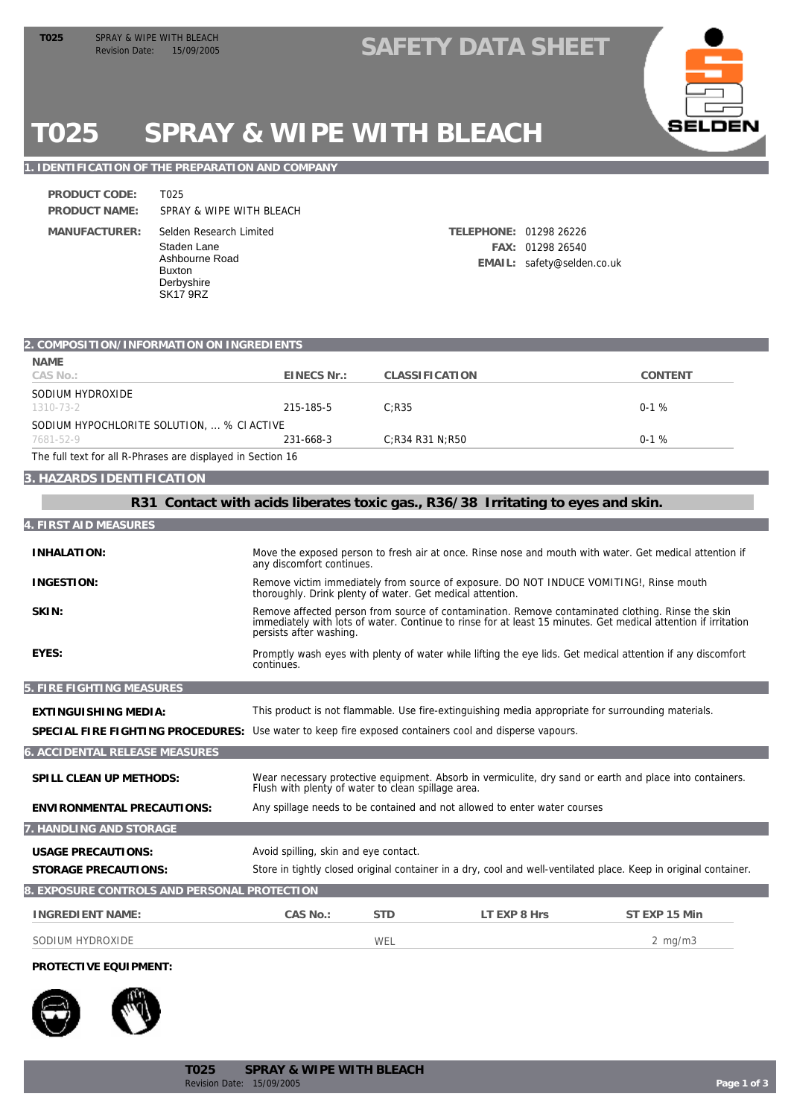### TO25 SPRAY & WIPE WITH BLEACH<br>Revision Date: 15/09/2005 **SAFETY DATA SHEET**



# **T025 SPRAY & WIPE WITH BLEACH**

#### **1. IDENTIFICATION OF THE PREPARATION AND COMPANY**

SK17 9RZ

| PRODUCT CODE: | T025                                                                                    |
|---------------|-----------------------------------------------------------------------------------------|
| PRODUCT NAME: | SPRAY & WIPE WITH BLEACH                                                                |
| MANUFACTURER: | Selden Research Limited<br>Staden Lane<br>Ashbourne Road<br><b>Buxton</b><br>Derbyshire |

Selden Research Limited **TELEPHONE:** 01298 26226 **FAX:** 01298 26540 **EMAIL:** safety@selden.co.uk

| 2. COMPOSITION/INFORMATION ON INGREDIENTS                   |             |                    |         |  |
|-------------------------------------------------------------|-------------|--------------------|---------|--|
| <b>NAME</b>                                                 |             |                    |         |  |
| CAS No.:                                                    | EINECS Nr.: | CLASSIFICATION     | CONTENT |  |
| SODIUM HYDROXIDE                                            |             |                    |         |  |
| 1310-73-2                                                   | 215-185-5   | C:R35              | $0-1%$  |  |
| SODIUM HYPOCHLORITE SOLUTION,  % CI ACTIVE                  |             |                    |         |  |
| 7681-52-9                                                   | 231-668-3   | $C:$ R34 R31 N:R50 | $0-1%$  |  |
| The full text for all R-Phrases are displayed in Section 16 |             |                    |         |  |

#### **3. HAZARDS IDENTIFICATION**

**R31 Contact with acids liberates toxic gas., R36/38 Irritating to eyes and skin.**

| 4. FIRST AID MEASURES                        |                                                                                                                                                      |            |                                                                                                    |                                                                                                                                                                                                                     |
|----------------------------------------------|------------------------------------------------------------------------------------------------------------------------------------------------------|------------|----------------------------------------------------------------------------------------------------|---------------------------------------------------------------------------------------------------------------------------------------------------------------------------------------------------------------------|
| <b>INHALATION:</b>                           | any discomfort continues.                                                                                                                            |            |                                                                                                    | Move the exposed person to fresh air at once. Rinse nose and mouth with water. Get medical attention if                                                                                                             |
| <b>INGESTION:</b>                            | Remove victim immediately from source of exposure. DO NOT INDUCE VOMITING!, Rinse mouth<br>thoroughly. Drink plenty of water. Get medical attention. |            |                                                                                                    |                                                                                                                                                                                                                     |
| SKIN:                                        | persists after washing.                                                                                                                              |            |                                                                                                    | Remove affected person from source of contamination. Remove contaminated clothing. Rinse the skin<br>immediately with lots of water. Continue to rinse for at least 15 minutes. Get medical attention if irritation |
| EYES:                                        | continues.                                                                                                                                           |            |                                                                                                    | Promptly wash eyes with plenty of water while lifting the eye lids. Get medical attention if any discomfort                                                                                                         |
| 5. FIRE FIGHTING MEASURES                    |                                                                                                                                                      |            |                                                                                                    |                                                                                                                                                                                                                     |
| EXTINGUISHING MEDIA:                         |                                                                                                                                                      |            | This product is not flammable. Use fire-extinguishing media appropriate for surrounding materials. |                                                                                                                                                                                                                     |
| SPECIAL FIRE FIGHTING PROCEDURES:            |                                                                                                                                                      |            | Use water to keep fire exposed containers cool and disperse vapours.                               |                                                                                                                                                                                                                     |
| 6. ACCIDENTAL RELEASE MEASURES               |                                                                                                                                                      |            |                                                                                                    |                                                                                                                                                                                                                     |
| SPILL CLEAN UP METHODS:                      | Flush with plenty of water to clean spillage area.                                                                                                   |            |                                                                                                    | Wear necessary protective equipment. Absorb in vermiculite, dry sand or earth and place into containers.                                                                                                            |
| <b>ENVIRONMENTAL PRECAUTIONS:</b>            | Any spillage needs to be contained and not allowed to enter water courses                                                                            |            |                                                                                                    |                                                                                                                                                                                                                     |
| 7. HANDLING AND STORAGE                      |                                                                                                                                                      |            |                                                                                                    |                                                                                                                                                                                                                     |
| <b>USAGE PRECAUTIONS:</b>                    | Avoid spilling, skin and eye contact.                                                                                                                |            |                                                                                                    |                                                                                                                                                                                                                     |
| <b>STORAGE PRECAUTIONS:</b>                  |                                                                                                                                                      |            |                                                                                                    | Store in tightly closed original container in a dry, cool and well-ventilated place. Keep in original container.                                                                                                    |
| 8. EXPOSURE CONTROLS AND PERSONAL PROTECTION |                                                                                                                                                      |            |                                                                                                    |                                                                                                                                                                                                                     |
| <b>INGREDIENT NAME:</b>                      | CAS No.:                                                                                                                                             | <b>STD</b> | LT EXP 8 Hrs                                                                                       | ST EXP 15 Min                                                                                                                                                                                                       |
| SODIUM HYDROXIDE                             |                                                                                                                                                      | WEL        |                                                                                                    | $2 \text{ mg/m}$                                                                                                                                                                                                    |

#### **PROTECTIVE EQUIPMENT:**



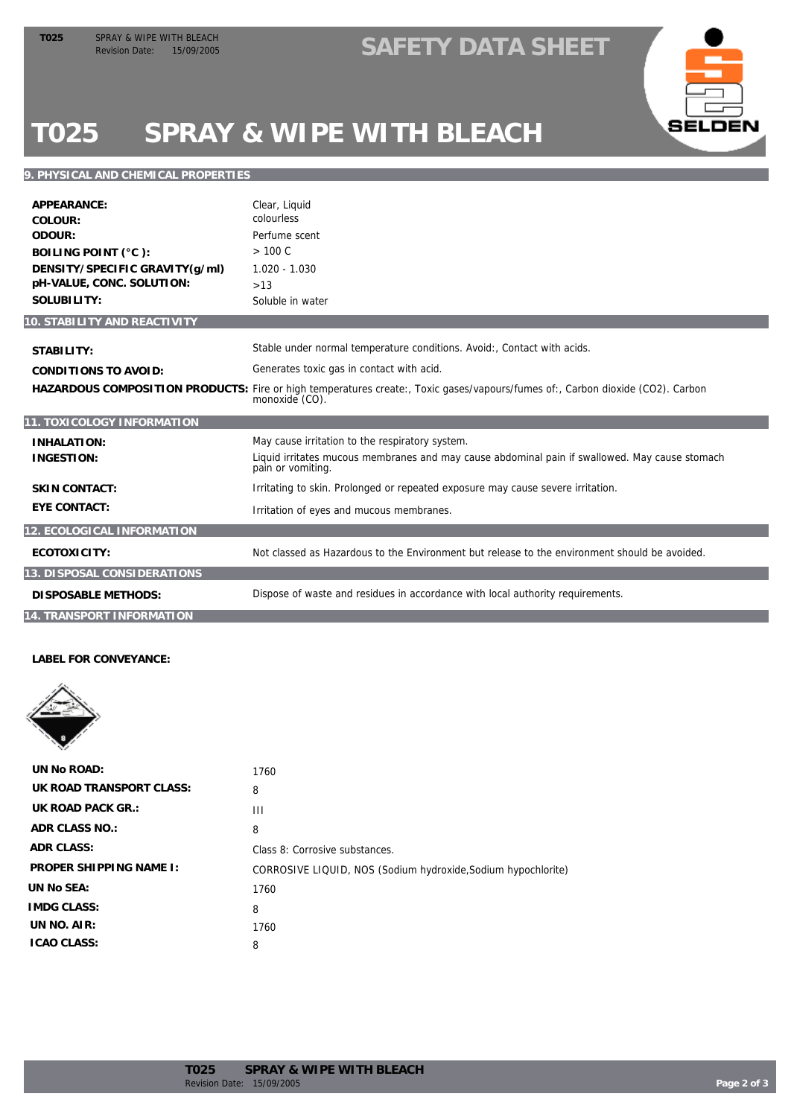### TO25 SPRAY & WIPE WITH BLEACH<br>Revision Date: 15/09/2005 **SAFETY DATA SHEET**



# **T025 SPRAY & WIPE WITH BLEACH**

#### **9. PHYSICAL AND CHEMICAL PROPERTIES**

| APPEARANCE:<br>COLOUR:<br>ODOUR:<br>BOILING POINT (°C):<br>DENSITY/SPECIFIC GRAVITY(g/ml)<br>pH-VALUE, CONC. SOLUTION:<br>SOLUBILITY: | Clear, Liquid<br>colourless<br>Perfume scent<br>> 100 C<br>$1.020 - 1.030$<br>>13<br>Soluble in water                                            |
|---------------------------------------------------------------------------------------------------------------------------------------|--------------------------------------------------------------------------------------------------------------------------------------------------|
| 10. STABILITY AND REACTIVITY                                                                                                          |                                                                                                                                                  |
| STABILITY:                                                                                                                            | Stable under normal temperature conditions. Avoid:, Contact with acids.                                                                          |
| CONDITIONS TO AVOID:                                                                                                                  | Generates toxic gas in contact with acid.                                                                                                        |
|                                                                                                                                       | HAZARDOUS COMPOSITION PRODUCTS: Fire or high temperatures create:, Toxic gases/vapours/fumes of:, Carbon dioxide (CO2). Carbon<br>monoxide (CO). |
| 11. TOXICOLOGY INFORMATION                                                                                                            |                                                                                                                                                  |
| <b>INHALATION:</b>                                                                                                                    | May cause irritation to the respiratory system.                                                                                                  |
| <b>INGESTION:</b>                                                                                                                     | Liquid irritates mucous membranes and may cause abdominal pain if swallowed. May cause stomach<br>pain or vomiting.                              |
| <b>SKIN CONTACT:</b>                                                                                                                  | Irritating to skin. Prolonged or repeated exposure may cause severe irritation.                                                                  |
| <b>EYE CONTACT:</b>                                                                                                                   | Irritation of eyes and mucous membranes.                                                                                                         |
| 12. ECOLOGICAL INFORMATION                                                                                                            |                                                                                                                                                  |
| ECOTOXICITY:                                                                                                                          | Not classed as Hazardous to the Environment but release to the environment should be avoided.                                                    |
| 13. DISPOSAL CONSIDERATIONS                                                                                                           |                                                                                                                                                  |
| <b>DISPOSABLE METHODS:</b>                                                                                                            | Dispose of waste and residues in accordance with local authority requirements.                                                                   |
| 14. TRANSPORT INFORMATION                                                                                                             |                                                                                                                                                  |

**LABEL FOR CONVEYANCE:**



| UN No ROAD:              | 1760                                                          |
|--------------------------|---------------------------------------------------------------|
| UK ROAD TRANSPORT CLASS: | 8                                                             |
| UK ROAD PACK GR.:        | Ш                                                             |
| ADR CLASS NO.:           | 8                                                             |
| ADR CLASS:               | Class 8: Corrosive substances.                                |
| PROPER SHIPPING NAME I:  | CORROSIVE LIQUID, NOS (Sodium hydroxide, Sodium hypochlorite) |
| UN No SEA:               | 1760                                                          |
| <b>IMDG CLASS:</b>       | 8                                                             |
| UN $NO.$ AIR:            | 1760                                                          |
| <b>ICAO CLASS:</b>       | 8                                                             |